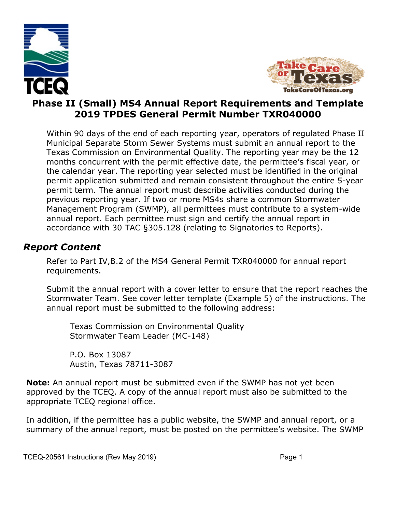



#### **Phase II (Small) MS4 Annual Report Requirements and Template 2019 TPDES General Permit Number TXR040000**

Within 90 days of the end of each reporting year, operators of regulated Phase II Municipal Separate Storm Sewer Systems must submit an annual report to the Texas Commission on Environmental Quality. The reporting year may be the 12 months concurrent with the permit effective date, the permittee's fiscal year, or the calendar year. The reporting year selected must be identified in the original permit application submitted and remain consistent throughout the entire 5-year permit term. The annual report must describe activities conducted during the previous reporting year. If two or more MS4s share a common Stormwater Management Program (SWMP), all permittees must contribute to a system-wide annual report. Each permittee must sign and certify the annual report in accordance with 30 TAC §305.128 (relating to Signatories to Reports).

#### *Report Content*

Refer to Part IV,B.2 of the MS4 General Permit TXR040000 for annual report requirements.

Submit the annual report with a cover letter to ensure that the report reaches the Stormwater Team. See cover letter template (Example 5) of the instructions. The annual report must be submitted to the following address:

Texas Commission on Environmental Quality Stormwater Team Leader (MC-148)

P.O. Box 13087 Austin, Texas 78711-3087

**Note:** An annual report must be submitted even if the SWMP has not yet been approved by the TCEQ. A copy of the annual report must also be submitted to the appropriate TCEQ regional office.

In addition, if the permittee has a public website, the SWMP and annual report, or a summary of the annual report, must be posted on the permittee's website. The SWMP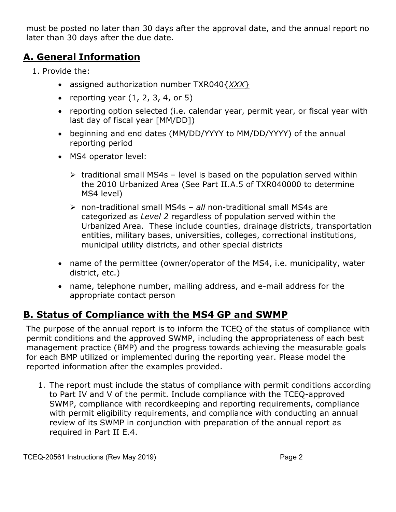must be posted no later than 30 days after the approval date, and the annual report no later than 30 days after the due date.

#### **A. General Information**

- 1. Provide the:
	- assigned authorization number TXR040{*XXX*}
	- reporting year  $(1, 2, 3, 4, 6r)$
	- reporting option selected (i.e. calendar year, permit year, or fiscal year with last day of fiscal year [MM/DD])
	- beginning and end dates (MM/DD/YYYY to MM/DD/YYYY) of the annual reporting period
	- MS4 operator level:
		- $\triangleright$  traditional small MS4s level is based on the population served within the 2010 Urbanized Area (See Part II.A.5 of TXR040000 to determine MS4 level)
		- non-traditional small MS4s *all* non-traditional small MS4s are categorized as *Level 2* regardless of population served within the Urbanized Area. These include counties, drainage districts, transportation entities, military bases, universities, colleges, correctional institutions, municipal utility districts, and other special districts
	- name of the permittee (owner/operator of the MS4, i.e. municipality, water district, etc.)
	- name, telephone number, mailing address, and e-mail address for the appropriate contact person

#### **B. Status of Compliance with the MS4 GP and SWMP**

The purpose of the annual report is to inform the TCEQ of the status of compliance with permit conditions and the approved SWMP, including the appropriateness of each best management practice (BMP) and the progress towards achieving the measurable goals for each BMP utilized or implemented during the reporting year. Please model the reported information after the examples provided.

1. The report must include the status of compliance with permit conditions according to Part IV and V of the permit. Include compliance with the TCEQ-approved SWMP, compliance with recordkeeping and reporting requirements, compliance with permit eligibility requirements, and compliance with conducting an annual review of its SWMP in conjunction with preparation of the annual report as required in Part II E.4.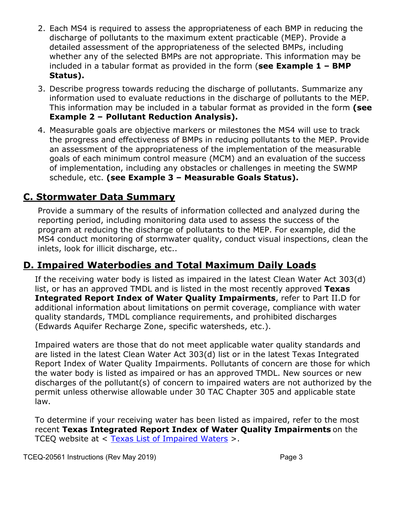- 2. Each MS4 is required to assess the appropriateness of each BMP in reducing the discharge of pollutants to the maximum extent practicable (MEP). Provide a detailed assessment of the appropriateness of the selected BMPs, including whether any of the selected BMPs are not appropriate. This information may be included in a tabular format as provided in the form (**see Example 1 – BMP Status).**
- 3. Describe progress towards reducing the discharge of pollutants. Summarize any information used to evaluate reductions in the discharge of pollutants to the MEP. This information may be included in a tabular format as provided in the form **(see Example 2 – Pollutant Reduction Analysis).**
- 4. Measurable goals are objective markers or milestones the MS4 will use to track the progress and effectiveness of BMPs in reducing pollutants to the MEP. Provide an assessment of the appropriateness of the implementation of the measurable goals of each minimum control measure (MCM) and an evaluation of the success of implementation, including any obstacles or challenges in meeting the SWMP schedule, etc. **(see Example 3 – Measurable Goals Status).**

#### **C. Stormwater Data Summary**

Provide a summary of the results of information collected and analyzed during the reporting period, including monitoring data used to assess the success of the program at reducing the discharge of pollutants to the MEP. For example, did the MS4 conduct monitoring of stormwater quality, conduct visual inspections, clean the inlets, look for illicit discharge, etc..

# **D. Impaired Waterbodies and Total Maximum Daily Loads**

If the receiving water body is listed as impaired in the latest Clean Water Act 303(d) list, or has an approved TMDL and is listed in the most recently approved **Texas Integrated Report Index of Water Quality Impairments**, refer to Part II.D for additional information about limitations on permit coverage, compliance with water quality standards, TMDL compliance requirements, and prohibited discharges (Edwards Aquifer Recharge Zone, specific watersheds, etc.).

Impaired waters are those that do not meet applicable water quality standards and are listed in the latest Clean Water Act 303(d) list or in the latest Texas Integrated Report Index of Water Quality Impairments. Pollutants of concern are those for which the water body is listed as impaired or has an approved TMDL. New sources or new discharges of the pollutant(s) of concern to impaired waters are not authorized by the permit unless otherwise allowable under 30 TAC Chapter 305 and applicable state law.

To determine if your receiving water has been listed as impaired, refer to the most recent **Texas Integrated Report Index of Water Quality Impairments** on the TCEQ website at < [Texas List of Impaired Waters](https://www.tceq.texas.gov/waterquality/assessment/14twqi/14txir) >.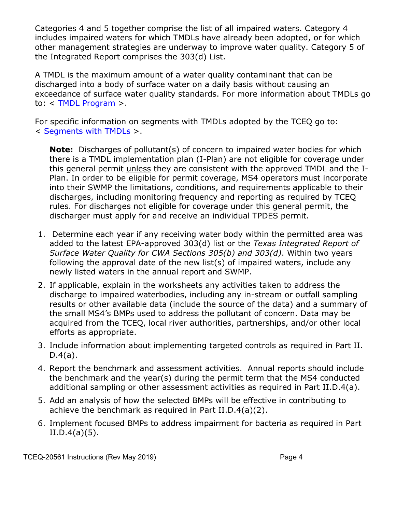Categories 4 and 5 together comprise the list of all impaired waters. Category 4 includes impaired waters for which TMDLs have already been adopted, or for which other management strategies are underway to improve water quality. Category 5 of the Integrated Report comprises the 303(d) List.

A TMDL is the maximum amount of a water quality contaminant that can be discharged into a body of surface water on a daily basis without causing an exceedance of surface water quality standards. For more information about TMDLs go to: < [TMDL Program](http://www.tceq.texas.gov/waterquality/tmdl/index.html) >.

For specific information on segments with TMDLs adopted by the TCEQ go to: < [Segments with TMDLs](https://www.tceq.texas.gov/waterquality/tmdl/nav/tmdlsegments) >.

**Note:** Discharges of pollutant(s) of concern to impaired water bodies for which there is a TMDL implementation plan (I-Plan) are not eligible for coverage under this general permit unless they are consistent with the approved TMDL and the I-Plan. In order to be eligible for permit coverage, MS4 operators must incorporate into their SWMP the limitations, conditions, and requirements applicable to their discharges, including monitoring frequency and reporting as required by TCEQ rules. For discharges not eligible for coverage under this general permit, the discharger must apply for and receive an individual TPDES permit.

- 1. Determine each year if any receiving water body within the permitted area was added to the latest EPA-approved 303(d) list or the *Texas Integrated Report of Surface Water Quality for CWA Sections 305(b) and 303(d)*. Within two years following the approval date of the new list(s) of impaired waters, include any newly listed waters in the annual report and SWMP.
- 2. If applicable, explain in the worksheets any activities taken to address the discharge to impaired waterbodies, including any in-stream or outfall sampling results or other available data (include the source of the data) and a summary of the small MS4's BMPs used to address the pollutant of concern. Data may be acquired from the TCEQ, local river authorities, partnerships, and/or other local efforts as appropriate.
- 3. Include information about implementing targeted controls as required in Part II.  $D.4(a)$ .
- 4. Report the benchmark and assessment activities. Annual reports should include the benchmark and the year(s) during the permit term that the MS4 conducted additional sampling or other assessment activities as required in Part II.D.4(a).
- 5. Add an analysis of how the selected BMPs will be effective in contributing to achieve the benchmark as required in Part II.D.4(a)(2).
- 6. Implement focused BMPs to address impairment for bacteria as required in Part  $II.D.4(a)(5).$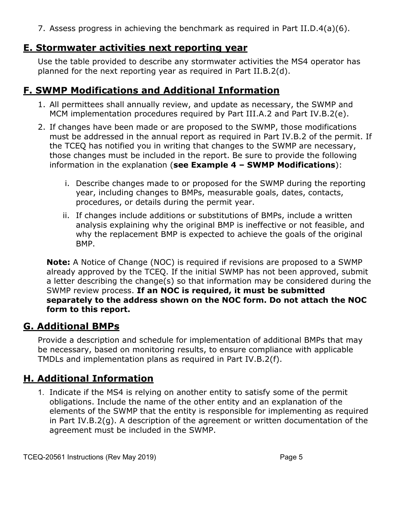7. Assess progress in achieving the benchmark as required in Part II.D.4(a)(6).

#### **E. Stormwater activities next reporting year**

Use the table provided to describe any stormwater activities the MS4 operator has planned for the next reporting year as required in Part II.B.2(d).

# **F. SWMP Modifications and Additional Information**

- 1. All permittees shall annually review, and update as necessary, the SWMP and MCM implementation procedures required by Part III.A.2 and Part IV.B.2(e).
- 2. If changes have been made or are proposed to the SWMP, those modifications must be addressed in the annual report as required in Part IV.B.2 of the permit. If the TCEQ has notified you in writing that changes to the SWMP are necessary, those changes must be included in the report. Be sure to provide the following information in the explanation (**see Example 4 – SWMP Modifications**):
	- i. Describe changes made to or proposed for the SWMP during the reporting year, including changes to BMPs, measurable goals, dates, contacts, procedures, or details during the permit year.
	- ii. If changes include additions or substitutions of BMPs, include a written analysis explaining why the original BMP is ineffective or not feasible, and why the replacement BMP is expected to achieve the goals of the original BMP.

**Note:** A Notice of Change (NOC) is required if revisions are proposed to a SWMP already approved by the TCEQ. If the initial SWMP has not been approved, submit a letter describing the change(s) so that information may be considered during the SWMP review process. **If an NOC is required, it must be submitted separately to the address shown on the NOC form. Do not attach the NOC form to this report.**

# **G. Additional BMPs**

Provide a description and schedule for implementation of additional BMPs that may be necessary, based on monitoring results, to ensure compliance with applicable TMDLs and implementation plans as required in Part IV.B.2(f).

# **H. Additional Information**

1. Indicate if the MS4 is relying on another entity to satisfy some of the permit obligations. Include the name of the other entity and an explanation of the elements of the SWMP that the entity is responsible for implementing as required in Part IV.B.2(g). A description of the agreement or written documentation of the agreement must be included in the SWMP.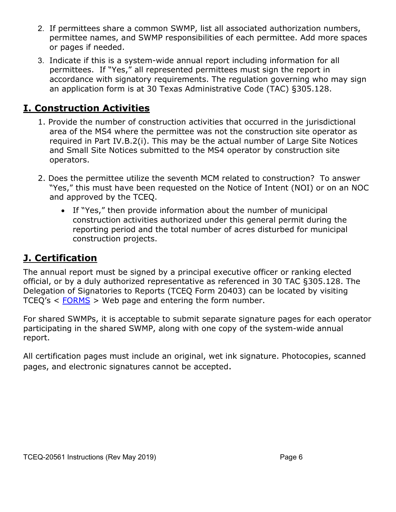- 2. If permittees share a common SWMP, list all associated authorization numbers, permittee names, and SWMP responsibilities of each permittee. Add more spaces or pages if needed.
- 3. Indicate if this is a system-wide annual report including information for all permittees. If "Yes," all represented permittees must sign the report in accordance with signatory requirements. The regulation governing who may sign an application form is at 30 Texas Administrative Code (TAC) §305.128.

### **I. Construction Activities**

- 1. Provide the number of construction activities that occurred in the jurisdictional area of the MS4 where the permittee was not the construction site operator as required in Part IV.B.2(i). This may be the actual number of Large Site Notices and Small Site Notices submitted to the MS4 operator by construction site operators.
- 2. Does the permittee utilize the seventh MCM related to construction? To answer "Yes," this must have been requested on the Notice of Intent (NOI) or on an NOC and approved by the TCEQ.
	- If "Yes," then provide information about the number of municipal construction activities authorized under this general permit during the reporting period and the total number of acres disturbed for municipal construction projects.

# **J. Certification**

The annual report must be signed by a principal executive officer or ranking elected official, or by a duly authorized representative as referenced in 30 TAC §305.128. The Delegation of Signatories to Reports (TCEQ Form 20403) can be located by visiting TCEQ's < [FORMS](https://www.tceq.texas.gov/search_forms.html) > Web page and entering the form number.

For shared SWMPs, it is acceptable to submit separate signature pages for each operator participating in the shared SWMP, along with one copy of the system-wide annual report.

All certification pages must include an original, wet ink signature. Photocopies, scanned pages, and electronic signatures cannot be accepted.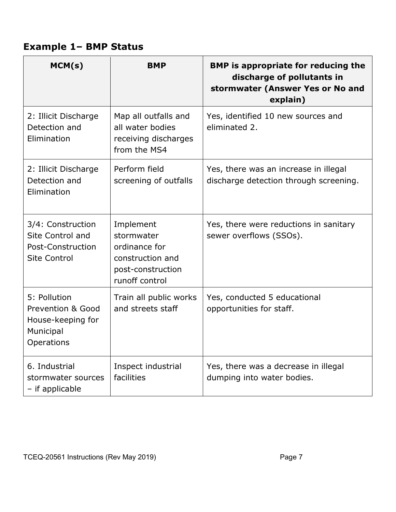# **Example 1– BMP Status**

| MCM(s)                                                                            | <b>BMP</b>                                                                                          | <b>BMP</b> is appropriate for reducing the<br>discharge of pollutants in<br>stormwater (Answer Yes or No and<br>explain) |
|-----------------------------------------------------------------------------------|-----------------------------------------------------------------------------------------------------|--------------------------------------------------------------------------------------------------------------------------|
| 2: Illicit Discharge<br>Detection and<br>Elimination                              | Map all outfalls and<br>all water bodies<br>receiving discharges<br>from the MS4                    | Yes, identified 10 new sources and<br>eliminated 2.                                                                      |
| 2: Illicit Discharge<br>Detection and<br>Elimination                              | Perform field<br>screening of outfalls                                                              | Yes, there was an increase in illegal<br>discharge detection through screening.                                          |
| 3/4: Construction<br>Site Control and<br>Post-Construction<br><b>Site Control</b> | Implement<br>stormwater<br>ordinance for<br>construction and<br>post-construction<br>runoff control | Yes, there were reductions in sanitary<br>sewer overflows (SSOs).                                                        |
| 5: Pollution<br>Prevention & Good<br>House-keeping for<br>Municipal<br>Operations | Train all public works<br>and streets staff                                                         | Yes, conducted 5 educational<br>opportunities for staff.                                                                 |
| 6. Industrial<br>stormwater sources<br>- if applicable                            | Inspect industrial<br>facilities                                                                    | Yes, there was a decrease in illegal<br>dumping into water bodies.                                                       |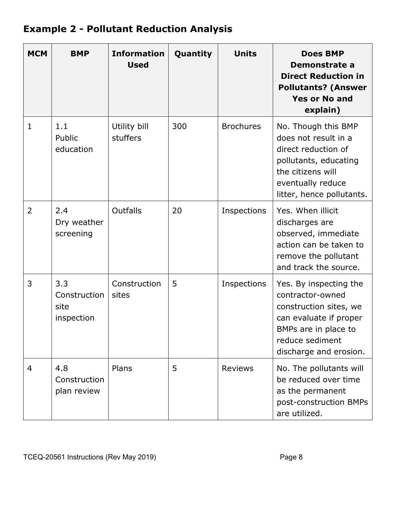# **Example 2 - Pollutant Reduction Analysis**

| <b>MCM</b>     | <b>BMP</b>                                | <b>Information</b><br><b>Used</b> | Quantity | <b>Units</b>     | <b>Does BMP</b><br>Demonstrate a<br><b>Direct Reduction in</b><br><b>Pollutants? (Answer</b><br><b>Yes or No and</b><br>explain)                                    |
|----------------|-------------------------------------------|-----------------------------------|----------|------------------|---------------------------------------------------------------------------------------------------------------------------------------------------------------------|
| $\mathbf{1}$   | 1.1<br>Public<br>education                | Utility bill<br>stuffers          | 300      | <b>Brochures</b> | No. Though this BMP<br>does not result in a<br>direct reduction of<br>pollutants, educating<br>the citizens will<br>eventually reduce<br>litter, hence pollutants.  |
| $\overline{2}$ | 2.4<br>Dry weather<br>screening           | Outfalls                          | 20       | Inspections      | Yes. When illicit<br>discharges are<br>observed, immediate<br>action can be taken to<br>remove the pollutant<br>and track the source.                               |
| 3              | 3.3<br>Construction<br>site<br>inspection | Construction<br>sites             | 5        | Inspections      | Yes. By inspecting the<br>contractor-owned<br>construction sites, we<br>can evaluate if proper<br>BMPs are in place to<br>reduce sediment<br>discharge and erosion. |
| 4              | 4.8<br>Construction<br>plan review        | Plans                             | 5        | <b>Reviews</b>   | No. The pollutants will<br>be reduced over time<br>as the permanent<br>post-construction BMPs<br>are utilized.                                                      |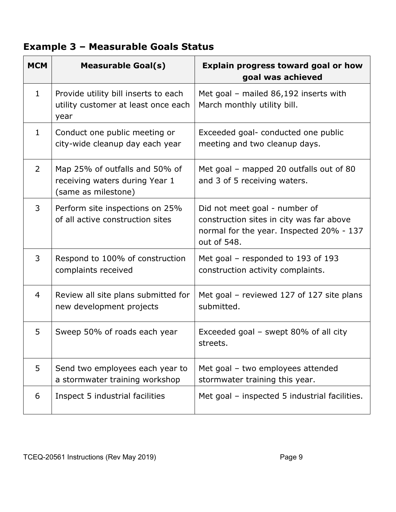# **Example 3 – Measurable Goals Status**

| <b>MCM</b>     | <b>Measurable Goal(s)</b>                                                               | <b>Explain progress toward goal or how</b><br>goal was achieved                                                                      |
|----------------|-----------------------------------------------------------------------------------------|--------------------------------------------------------------------------------------------------------------------------------------|
| $\mathbf{1}$   | Provide utility bill inserts to each<br>utility customer at least once each<br>year     | Met goal - mailed 86,192 inserts with<br>March monthly utility bill.                                                                 |
| $\mathbf{1}$   | Conduct one public meeting or<br>city-wide cleanup day each year                        | Exceeded goal- conducted one public<br>meeting and two cleanup days.                                                                 |
| $\overline{2}$ | Map 25% of outfalls and 50% of<br>receiving waters during Year 1<br>(same as milestone) | Met goal - mapped 20 outfalls out of 80<br>and 3 of 5 receiving waters.                                                              |
| 3              | Perform site inspections on 25%<br>of all active construction sites                     | Did not meet goal - number of<br>construction sites in city was far above<br>normal for the year. Inspected 20% - 137<br>out of 548. |
| 3              | Respond to 100% of construction<br>complaints received                                  | Met goal – responded to 193 of 193<br>construction activity complaints.                                                              |
| $\overline{4}$ | Review all site plans submitted for<br>new development projects                         | Met goal – reviewed 127 of 127 site plans<br>submitted.                                                                              |
| 5              | Sweep 50% of roads each year                                                            | Exceeded goal – swept 80% of all city<br>streets.                                                                                    |
| 5              | Send two employees each year to<br>a stormwater training workshop                       | Met goal - two employees attended<br>stormwater training this year.                                                                  |
| 6              | Inspect 5 industrial facilities                                                         | Met goal - inspected 5 industrial facilities.                                                                                        |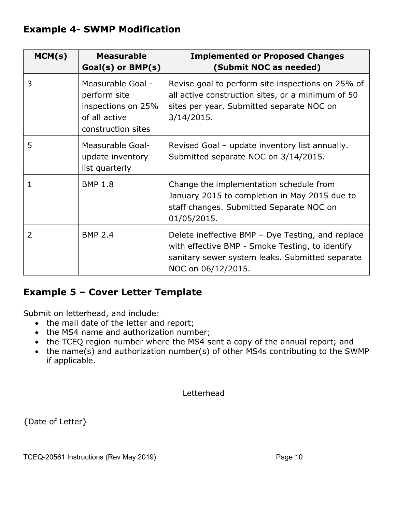#### **Example 4- SWMP Modification**

| MCM(s)         | <b>Measurable</b><br>$Goal(s)$ or $BMP(s)$                                                     | <b>Implemented or Proposed Changes</b><br>(Submit NOC as needed)                                                                                                              |
|----------------|------------------------------------------------------------------------------------------------|-------------------------------------------------------------------------------------------------------------------------------------------------------------------------------|
| 3              | Measurable Goal -<br>perform site<br>inspections on 25%<br>of all active<br>construction sites | Revise goal to perform site inspections on 25% of<br>all active construction sites, or a minimum of 50<br>sites per year. Submitted separate NOC on<br>3/14/2015.             |
| 5              | Measurable Goal-<br>update inventory<br>list quarterly                                         | Revised Goal - update inventory list annually.<br>Submitted separate NOC on 3/14/2015.                                                                                        |
| 1              | <b>BMP 1.8</b>                                                                                 | Change the implementation schedule from<br>January 2015 to completion in May 2015 due to<br>staff changes. Submitted Separate NOC on<br>01/05/2015.                           |
| $\overline{2}$ | <b>BMP 2.4</b>                                                                                 | Delete ineffective BMP - Dye Testing, and replace<br>with effective BMP - Smoke Testing, to identify<br>sanitary sewer system leaks. Submitted separate<br>NOC on 06/12/2015. |

#### **Example 5 – Cover Letter Template**

Submit on letterhead, and include:

- the mail date of the letter and report;
- the MS4 name and authorization number;
- the TCEQ region number where the MS4 sent a copy of the annual report; and
- the name(s) and authorization number(s) of other MS4s contributing to the SWMP if applicable.

Letterhead

{Date of Letter}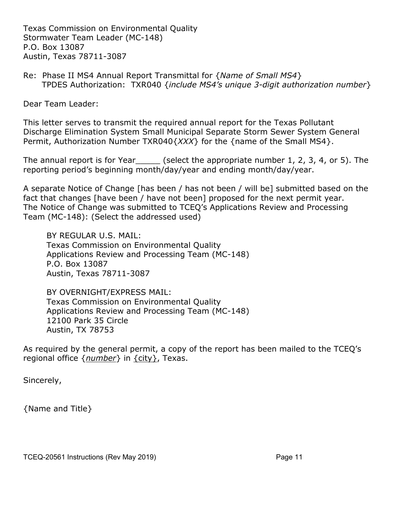Texas Commission on Environmental Quality Stormwater Team Leader (MC-148) P.O. Box 13087 Austin, Texas 78711-3087

Re: Phase II MS4 Annual Report Transmittal for {*Name of Small MS4*} TPDES Authorization: TXR040 {*include MS4's unique 3-digit authorization number*}

Dear Team Leader:

This letter serves to transmit the required annual report for the Texas Pollutant Discharge Elimination System Small Municipal Separate Storm Sewer System General Permit, Authorization Number TXR040{*XXX*} for the {name of the Small MS4}.

The annual report is for Year (select the appropriate number 1, 2, 3, 4, or 5). The reporting period's beginning month/day/year and ending month/day/year.

A separate Notice of Change [has been / has not been / will be] submitted based on the fact that changes [have been / have not been] proposed for the next permit year. The Notice of Change was submitted to TCEQ's Applications Review and Processing Team (MC-148): (Select the addressed used)

BY REGULAR U.S. MAIL: Texas Commission on Environmental Quality Applications Review and Processing Team (MC-148) P.O. Box 13087 Austin, Texas 78711-3087

BY OVERNIGHT/EXPRESS MAIL: Texas Commission on Environmental Quality Applications Review and Processing Team (MC-148) 12100 Park 35 Circle Austin, TX 78753

As required by the general permit, a copy of the report has been mailed to the TCEQ's regional office {*number*} in {city}, Texas.

Sincerely,

{Name and Title}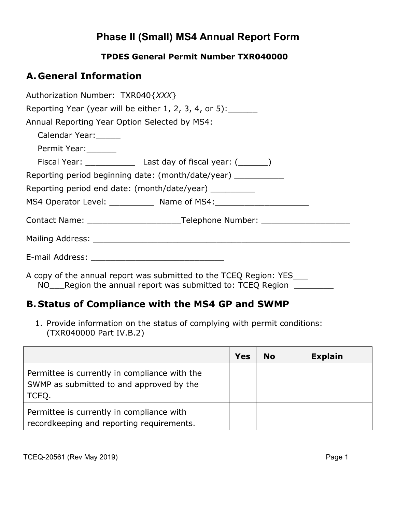# **Phase II (Small) MS4 Annual Report Form**

#### **TPDES General Permit Number TXR040000**

#### **A. General Information**

| Authorization Number: TXR040{XXX}                                                                                                  |  |  |  |  |  |
|------------------------------------------------------------------------------------------------------------------------------------|--|--|--|--|--|
| Reporting Year (year will be either $1, 2, 3, 4$ , or $5$ ):                                                                       |  |  |  |  |  |
| Annual Reporting Year Option Selected by MS4:                                                                                      |  |  |  |  |  |
| Calendar Year:                                                                                                                     |  |  |  |  |  |
| Permit Year:                                                                                                                       |  |  |  |  |  |
|                                                                                                                                    |  |  |  |  |  |
| Reporting period beginning date: (month/date/year) ____________                                                                    |  |  |  |  |  |
| Reporting period end date: (month/date/year) _________                                                                             |  |  |  |  |  |
| MS4 Operator Level: _____________ Name of MS4: _________________________________                                                   |  |  |  |  |  |
|                                                                                                                                    |  |  |  |  |  |
|                                                                                                                                    |  |  |  |  |  |
|                                                                                                                                    |  |  |  |  |  |
| A copy of the annual report was submitted to the TCEQ Region: YES____<br>NO Region the annual report was submitted to: TCEQ Region |  |  |  |  |  |

### **B. Status of Compliance with the MS4 GP and SWMP**

1. Provide information on the status of complying with permit conditions: (TXR040000 Part IV.B.2)

|                                                                                                    | <b>Yes</b> | <b>No</b> | <b>Explain</b> |
|----------------------------------------------------------------------------------------------------|------------|-----------|----------------|
| Permittee is currently in compliance with the<br>SWMP as submitted to and approved by the<br>TCEQ. |            |           |                |
| Permittee is currently in compliance with<br>recordkeeping and reporting requirements.             |            |           |                |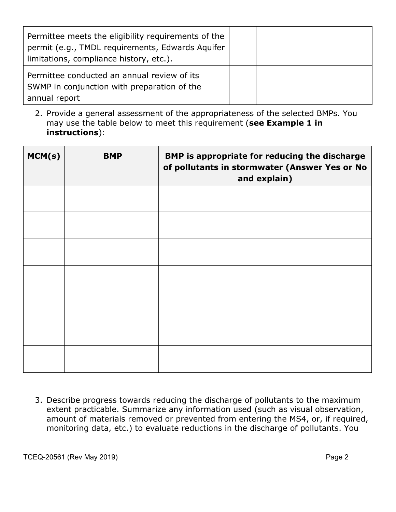| Permittee meets the eligibility requirements of the<br>permit (e.g., TMDL requirements, Edwards Aquifer<br>limitations, compliance history, etc.). |  |  |
|----------------------------------------------------------------------------------------------------------------------------------------------------|--|--|
| Permittee conducted an annual review of its<br>SWMP in conjunction with preparation of the<br>annual report                                        |  |  |

2. Provide a general assessment of the appropriateness of the selected BMPs. You may use the table below to meet this requirement (**see Example 1 in instructions**):

| MCM(s) | <b>BMP</b> | BMP is appropriate for reducing the discharge<br>of pollutants in stormwater (Answer Yes or No<br>and explain) |
|--------|------------|----------------------------------------------------------------------------------------------------------------|
|        |            |                                                                                                                |
|        |            |                                                                                                                |
|        |            |                                                                                                                |
|        |            |                                                                                                                |
|        |            |                                                                                                                |
|        |            |                                                                                                                |
|        |            |                                                                                                                |

3. Describe progress towards reducing the discharge of pollutants to the maximum extent practicable. Summarize any information used (such as visual observation, amount of materials removed or prevented from entering the MS4, or, if required, monitoring data, etc.) to evaluate reductions in the discharge of pollutants. You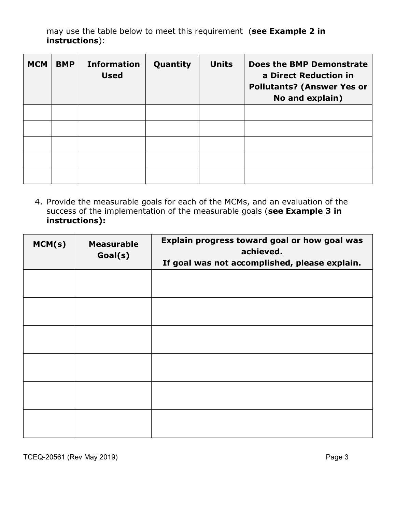may use the table below to meet this requirement (**see Example 2 in instructions**):

| <b>MCM</b> | <b>BMP</b> | <b>Information</b><br><b>Used</b> | Quantity | <b>Units</b> | <b>Does the BMP Demonstrate</b><br>a Direct Reduction in<br><b>Pollutants? (Answer Yes or</b><br>No and explain) |
|------------|------------|-----------------------------------|----------|--------------|------------------------------------------------------------------------------------------------------------------|
|            |            |                                   |          |              |                                                                                                                  |
|            |            |                                   |          |              |                                                                                                                  |
|            |            |                                   |          |              |                                                                                                                  |
|            |            |                                   |          |              |                                                                                                                  |
|            |            |                                   |          |              |                                                                                                                  |

4. Provide the measurable goals for each of the MCMs, and an evaluation of the success of the implementation of the measurable goals (**see Example 3 in instructions):**

| MCM(s) | <b>Measurable</b><br>Goal(s) | Explain progress toward goal or how goal was<br>achieved.<br>If goal was not accomplished, please explain. |
|--------|------------------------------|------------------------------------------------------------------------------------------------------------|
|        |                              |                                                                                                            |
|        |                              |                                                                                                            |
|        |                              |                                                                                                            |
|        |                              |                                                                                                            |
|        |                              |                                                                                                            |
|        |                              |                                                                                                            |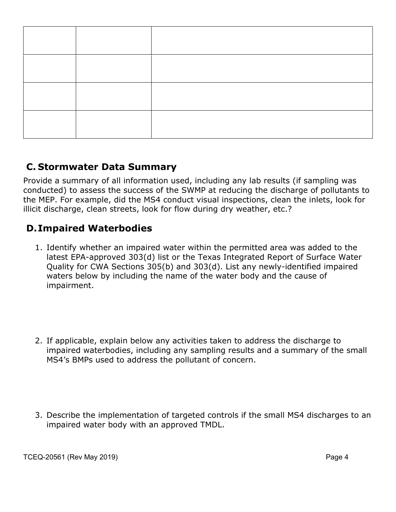#### **C. Stormwater Data Summary**

Provide a summary of all information used, including any lab results (if sampling was conducted) to assess the success of the SWMP at reducing the discharge of pollutants to the MEP. For example, did the MS4 conduct visual inspections, clean the inlets, look for illicit discharge, clean streets, look for flow during dry weather, etc.?

#### **D.Impaired Waterbodies**

- 1. Identify whether an impaired water within the permitted area was added to the latest EPA-approved 303(d) list or the Texas Integrated Report of Surface Water Quality for CWA Sections 305(b) and 303(d). List any newly-identified impaired waters below by including the name of the water body and the cause of impairment.
- 2. If applicable, explain below any activities taken to address the discharge to impaired waterbodies, including any sampling results and a summary of the small MS4's BMPs used to address the pollutant of concern.
- 3. Describe the implementation of targeted controls if the small MS4 discharges to an impaired water body with an approved TMDL.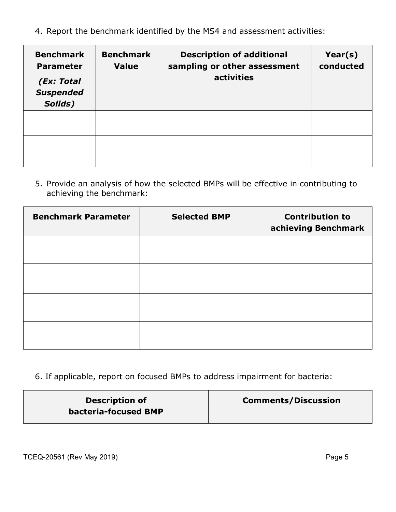4. Report the benchmark identified by the MS4 and assessment activities:

| <b>Benchmark</b><br><b>Parameter</b><br>(Ex: Total<br><b>Suspended</b><br>Solids) | <b>Benchmark</b><br><b>Value</b> | <b>Description of additional</b><br>sampling or other assessment<br>activities | Year(s)<br>conducted |
|-----------------------------------------------------------------------------------|----------------------------------|--------------------------------------------------------------------------------|----------------------|
|                                                                                   |                                  |                                                                                |                      |
|                                                                                   |                                  |                                                                                |                      |
|                                                                                   |                                  |                                                                                |                      |

5. Provide an analysis of how the selected BMPs will be effective in contributing to achieving the benchmark:

| <b>Benchmark Parameter</b> | <b>Selected BMP</b> | <b>Contribution to</b><br>achieving Benchmark |
|----------------------------|---------------------|-----------------------------------------------|
|                            |                     |                                               |
|                            |                     |                                               |
|                            |                     |                                               |
|                            |                     |                                               |

6. If applicable, report on focused BMPs to address impairment for bacteria:

| <b>Description of</b> | <b>Comments/Discussion</b> |
|-----------------------|----------------------------|
| bacteria-focused BMP  |                            |

TCEQ-20561 (Rev May 2019) TCEQ-20561 (Rev May 2019)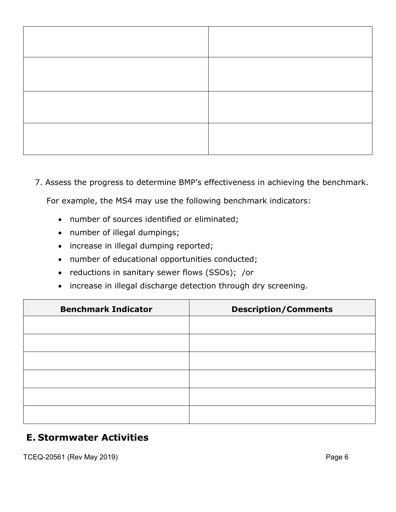7. Assess the progress to determine BMP's effectiveness in achieving the benchmark.

For example, the MS4 may use the following benchmark indicators:

- number of sources identified or eliminated;
- number of illegal dumpings;
- increase in illegal dumping reported;
- number of educational opportunities conducted;
- reductions in sanitary sewer flows (SSOs); /or
- increase in illegal discharge detection through dry screening.

| <b>Benchmark Indicator</b> | <b>Description/Comments</b> |
|----------------------------|-----------------------------|
|                            |                             |
|                            |                             |
|                            |                             |
|                            |                             |
|                            |                             |
|                            |                             |
|                            |                             |

#### **E. Stormwater Activities**

TCEQ-20561 (Rev May 2019) **Page 6**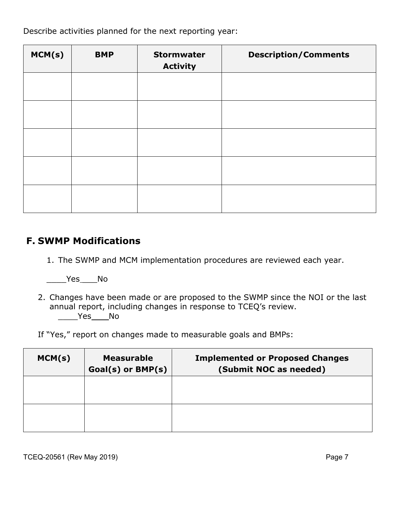Describe activities planned for the next reporting year:

| MCM(s) | <b>BMP</b> | <b>Stormwater</b><br><b>Activity</b> | <b>Description/Comments</b> |
|--------|------------|--------------------------------------|-----------------------------|
|        |            |                                      |                             |
|        |            |                                      |                             |
|        |            |                                      |                             |
|        |            |                                      |                             |
|        |            |                                      |                             |

#### **F. SWMP Modifications**

1. The SWMP and MCM implementation procedures are reviewed each year.

 $\rule{1em}{0.15mm}$   $\qquad$   $\qquad$   $\qquad$   $\qquad$   $\qquad$   $\qquad$   $\qquad$   $\qquad$   $\qquad$   $\qquad$   $\qquad$   $\qquad$   $\qquad$   $\qquad$   $\qquad$   $\qquad$   $\qquad$   $\qquad$   $\qquad$   $\qquad$   $\qquad$   $\qquad$   $\qquad$   $\qquad$   $\qquad$   $\qquad$   $\qquad$   $\qquad$   $\qquad$   $\qquad$   $\qquad$   $\qquad$   $\qquad$   $\qquad$   $\$ 

2. Changes have been made or are proposed to the SWMP since the NOI or the last annual report, including changes in response to TCEQ's review.  $\rule{1em}{0.15mm} \vspace{0.15mm}$   $\rule{1em}{0.15mm}$   $\rule{1em}{0.15mm}$   $\rule{1em}{0.15mm}$ 

If "Yes," report on changes made to measurable goals and BMPs:

| MCM(s) | <b>Measurable</b><br>Goal(s) or BMP(s) | <b>Implemented or Proposed Changes</b><br>(Submit NOC as needed) |
|--------|----------------------------------------|------------------------------------------------------------------|
|        |                                        |                                                                  |
|        |                                        |                                                                  |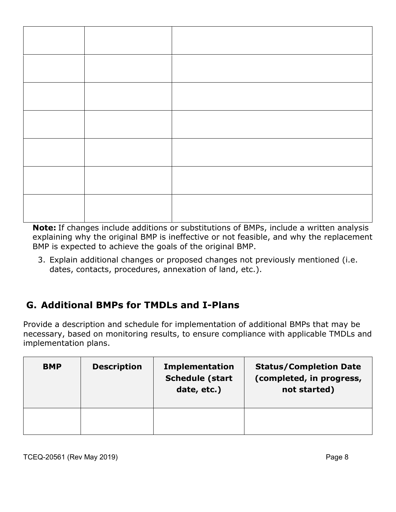**Note:** If changes include additions or substitutions of BMPs, include a written analysis explaining why the original BMP is ineffective or not feasible, and why the replacement BMP is expected to achieve the goals of the original BMP.

3. Explain additional changes or proposed changes not previously mentioned (i.e. dates, contacts, procedures, annexation of land, etc.).

# **G. Additional BMPs for TMDLs and I-Plans**

Provide a description and schedule for implementation of additional BMPs that may be necessary, based on monitoring results, to ensure compliance with applicable TMDLs and implementation plans.

| <b>BMP</b> | <b>Description</b> | <b>Implementation</b><br><b>Schedule (start</b><br>date, etc.) | <b>Status/Completion Date</b><br>(completed, in progress,<br>not started) |
|------------|--------------------|----------------------------------------------------------------|---------------------------------------------------------------------------|
|            |                    |                                                                |                                                                           |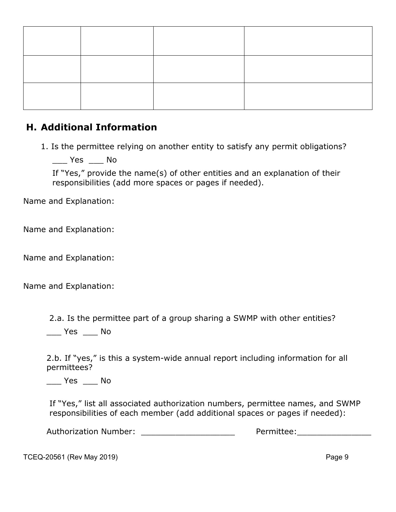#### **H. Additional Information**

1. Is the permittee relying on another entity to satisfy any permit obligations?

 $\_\_\_\$  Yes  $\_\_\_\$  No

If "Yes," provide the name(s) of other entities and an explanation of their responsibilities (add more spaces or pages if needed).

Name and Explanation:

Name and Explanation:

Name and Explanation:

Name and Explanation:

2.a. Is the permittee part of a group sharing a SWMP with other entities?

\_\_\_ Yes \_\_\_ No

2.b. If "yes," is this a system-wide annual report including information for all permittees?

\_\_\_ Yes \_\_\_ No

If "Yes," list all associated authorization numbers, permittee names, and SWMP responsibilities of each member (add additional spaces or pages if needed):

Authorization Number: \_\_\_\_\_\_\_\_\_\_\_\_\_\_\_\_\_\_\_ Permittee:\_\_\_\_\_\_\_\_\_\_\_\_\_\_\_

TCEQ-20561 (Rev May 2019) **Page 9**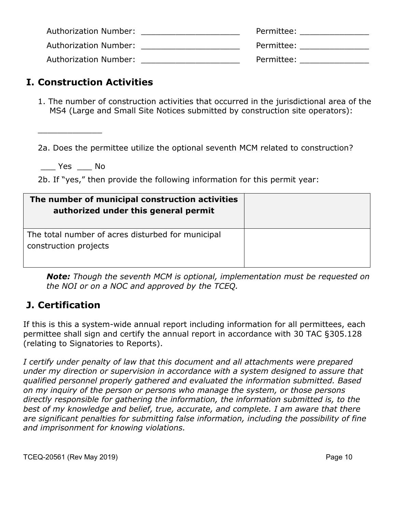| Authorization Number: | Permittee: |
|-----------------------|------------|
| Authorization Number: | Permittee: |
| Authorization Number: | Permittee: |

#### **I. Construction Activities**

1. The number of construction activities that occurred in the jurisdictional area of the MS4 (Large and Small Site Notices submitted by construction site operators):

2a. Does the permittee utilize the optional seventh MCM related to construction?

\_\_\_ Yes \_\_\_ No

\_\_\_\_\_\_\_\_\_\_\_\_\_

2b. If "yes," then provide the following information for this permit year:

| The number of municipal construction activities<br>authorized under this general permit |  |
|-----------------------------------------------------------------------------------------|--|
| The total number of acres disturbed for municipal<br>construction projects              |  |

*Note: Though the seventh MCM is optional, implementation must be requested on the NOI or on a NOC and approved by the TCEQ.*

#### **J. Certification**

If this is this a system-wide annual report including information for all permittees, each permittee shall sign and certify the annual report in accordance with 30 TAC §305.128 (relating to Signatories to Reports).

*I certify under penalty of law that this document and all attachments were prepared under my direction or supervision in accordance with a system designed to assure that qualified personnel properly gathered and evaluated the information submitted. Based on my inquiry of the person or persons who manage the system, or those persons directly responsible for gathering the information, the information submitted is, to the best of my knowledge and belief, true, accurate, and complete. I am aware that there are significant penalties for submitting false information, including the possibility of fine and imprisonment for knowing violations.*